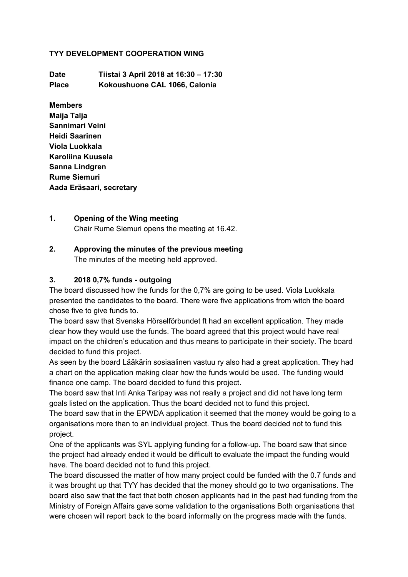#### **TYY DEVELOPMENT COOPERATION WING**

**Date Tiistai 3 April 2018 at 16:30 – 17:30 Place Kokoushuone CAL 1066, Calonia**

**Members Maija Talja Sannimari Veini Heidi Saarinen Viola Luokkala Karoliina Kuusela Sanna Lindgren Rume Siemuri Aada Eräsaari, secretary**

#### **1. Opening of the Wing meeting**

Chair Rume Siemuri opens the meeting at 16.42.

# **2. Approving the minutes of the previous meeting**

The minutes of the meeting held approved.

#### **3. 2018 0,7% funds - outgoing**

The board discussed how the funds for the 0,7% are going to be used. Viola Luokkala presented the candidates to the board. There were five applications from witch the board chose five to give funds to.

The board saw that Svenska Hörselförbundet ft had an excellent application. They made clear how they would use the funds. The board agreed that this project would have real impact on the children's education and thus means to participate in their society. The board decided to fund this project.

As seen by the board Lääkärin sosiaalinen vastuu ry also had a great application. They had a chart on the application making clear how the funds would be used. The funding would finance one camp. The board decided to fund this project.

The board saw that Inti Anka Taripay was not really a project and did not have long term goals listed on the application. Thus the board decided not to fund this project.

The board saw that in the EPWDA application it seemed that the money would be going to a organisations more than to an individual project. Thus the board decided not to fund this project.

One of the applicants was SYL applying funding for a follow-up. The board saw that since the project had already ended it would be difficult to evaluate the impact the funding would have. The board decided not to fund this project.

The board discussed the matter of how many project could be funded with the 0.7 funds and it was brought up that TYY has decided that the money should go to two organisations. The board also saw that the fact that both chosen applicants had in the past had funding from the Ministry of Foreign Affairs gave some validation to the organisations Both organisations that were chosen will report back to the board informally on the progress made with the funds.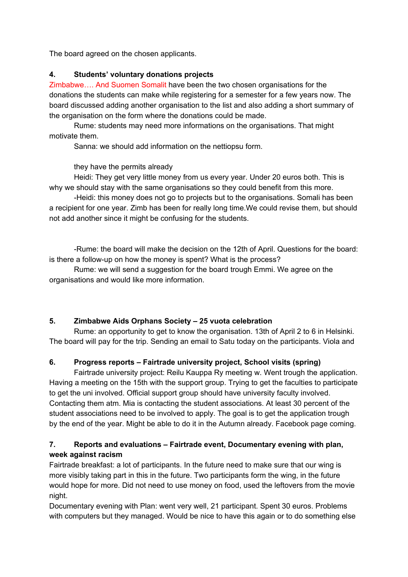The board agreed on the chosen applicants.

## **4. Students' voluntary donations projects**

Zimbabwe…. And Suomen Somalit have been the two chosen organisations for the donations the students can make while registering for a semester for a few years now. The board discussed adding another organisation to the list and also adding a short summary of the organisation on the form where the donations could be made.

Rume: students may need more informations on the organisations. That might motivate them.

Sanna: we should add information on the nettiopsu form.

they have the permits already

Heidi: They get very little money from us every year. Under 20 euros both. This is why we should stay with the same organisations so they could benefit from this more.

-Heidi: this money does not go to projects but to the organisations. Somali has been a recipient for one year. Zimb has been for really long time.We could revise them, but should not add another since it might be confusing for the students.

-Rume: the board will make the decision on the 12th of April. Questions for the board: is there a follow-up on how the money is spent? What is the process?

Rume: we will send a suggestion for the board trough Emmi. We agree on the organisations and would like more information.

### **5. Zimbabwe Aids Orphans Society – 25 vuota celebration**

Rume: an opportunity to get to know the organisation. 13th of April 2 to 6 in Helsinki. The board will pay for the trip. Sending an email to Satu today on the participants. Viola and

# **6. Progress reports – Fairtrade university project, School visits (spring)**

Fairtrade university project: Reilu Kauppa Ry meeting w. Went trough the application. Having a meeting on the 15th with the support group. Trying to get the faculties to participate to get the uni involved. Official support group should have university faculty involved. Contacting them atm. Mia is contacting the student associations. At least 30 percent of the student associations need to be involved to apply. The goal is to get the application trough by the end of the year. Might be able to do it in the Autumn already. Facebook page coming.

# **7. Reports and evaluations – Fairtrade event, Documentary evening with plan, week against racism**

Fairtrade breakfast: a lot of participants. In the future need to make sure that our wing is more visibly taking part in this in the future. Two participants form the wing, in the future would hope for more. Did not need to use money on food, used the leftovers from the movie night.

Documentary evening with Plan: went very well, 21 participant. Spent 30 euros. Problems with computers but they managed. Would be nice to have this again or to do something else